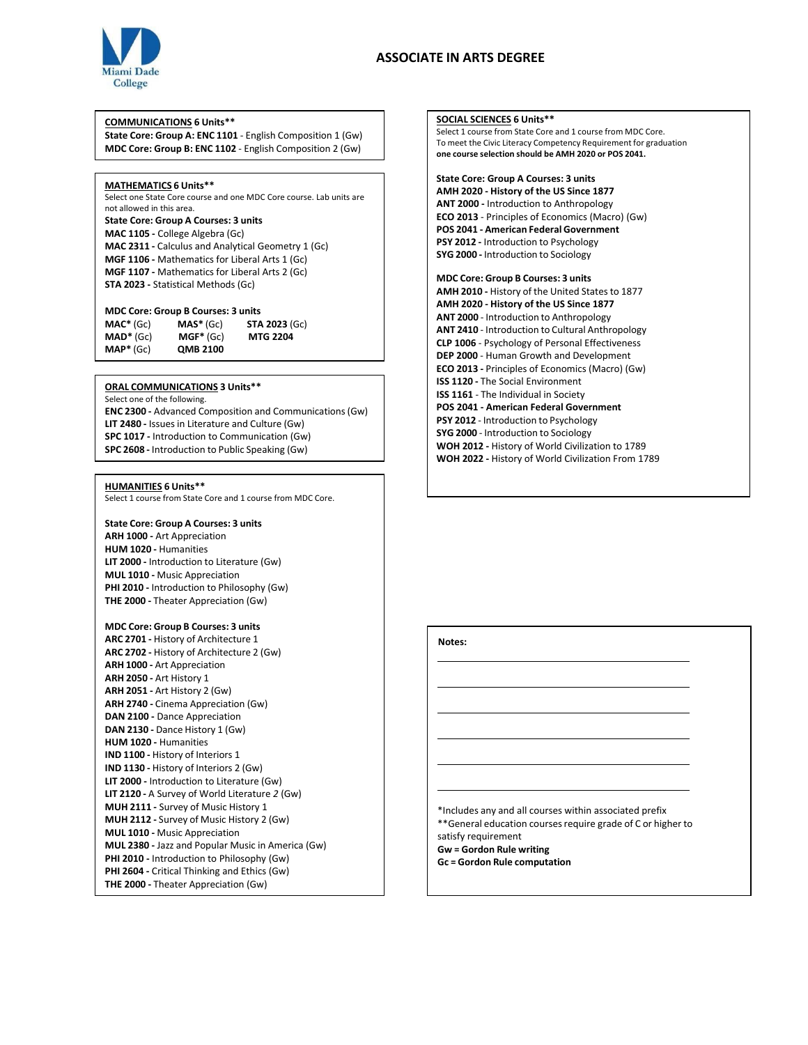# **College**

## **COMMUNICATIONS 6 Units\*\***

**State Core: Group A: ENC 1101** - English Composition 1 (Gw) **MDC Core: Group B: ENC 1102** - English Composition 2 (Gw)

## **MATHEMATICS 6 Units\*\***

Select one State Core course and one MDC Core course. Lab units are not allowed in this area. **State Core: Group A Courses: 3 units MAC 1105 -** College Algebra (Gc) **MAC 2311 -** Calculus and Analytical Geometry 1 (Gc) **MGF 1106 -** Mathematics for Liberal Arts 1 (Gc) **MGF 1107 -** Mathematics for Liberal Arts 2 (Gc) **STA 2023 -** Statistical Methods (Gc)

# **MDC Core: Group B Courses: 3 units**

**MAC\*** (Gc) **MAD\*** (Gc) **MAP\*** (Gc) **MAS\*** (Gc) **MGF\*** (Gc) **QMB 2100 STA 2023** (Gc) **MTG 2204** 

# (Gc) **ORAL COMMUNICATIONS 3 Units\*\***

Select one of the following.

**ENC 2300 -** Advanced Composition and Communications(Gw) **LIT 2480 -** Issues in Literature and Culture (Gw) **SPC 1017 -** Introduction to Communication (Gw) **SPC 2608 -** Introduction to Public Speaking (Gw)

#### **HUMANITIES 6 Units\*\***

Select 1 course from State Core and 1 course from MDC Core.

# **State Core: Group A Courses: 3 units**

**ARH 1000 -** Art Appreciation **HUM 1020 -** Humanities **LIT 2000 -** Introduction to Literature (Gw) **MUL 1010 -** Music Appreciation **PHI 2010 -** Introduction to Philosophy (Gw) **THE 2000 -** Theater Appreciation (Gw)

# **MDC Core: Group B Courses: 3 units**

**ARC 2701 -** History of Architecture 1 **ARC 2702 -** History of Architecture 2 (Gw) **ARH 1000 -** Art Appreciation **ARH 2050 -** Art History 1 **ARH 2051 -** Art History 2 (Gw) **ARH 2740 -** Cinema Appreciation (Gw) **DAN 2100 -** Dance Appreciation **DAN 2130 -** Dance History 1 (Gw) **HUM 1020 -** Humanities **IND 1100 -** History of Interiors 1 **IND 1130 -** History of Interiors 2 (Gw) **LIT 2000 -** Introduction to Literature (Gw) **LIT 2120 -** A Survey of World Literature *2* (Gw) **MUH 2111 -** Survey of Music History 1 **MUH 2112 -** Survey of Music History 2 (Gw) **MUL 1010 -** Music Appreciation **MUL 2380 -** Jazz and Popular Music in America (Gw) **PHI 2010 -** Introduction to Philosophy (Gw) **PHI 2604 -** Critical Thinking and Ethics (Gw) **THE 2000 -** Theater Appreciation (Gw)

# **SOCIAL SCIENCES 6 Units\*\***  Select 1 course from State Core and 1 course from MDC Core. To meet the Civic Literacy Competency Requirement for graduation **one course selection should be AMH 2020 or POS 2041. State Core: Group A Courses: 3 units AMH 2020 - History of the US Since 1877 ANT 2000 -** Introduction to Anthropology **ECO 2013** - Principles of Economics (Macro) (Gw) **POS 2041 - American Federal Government PSY 2012 -** Introduction to Psychology **SYG 2000 -** Introduction to Sociology **MDC Core: Group B Courses: 3 units AMH 2010 -** History of the United States to 1877 **AMH 2020 - History of the US Since 1877 ANT 2000** - Introduction to Anthropology **ANT 2410** - Introduction to Cultural Anthropology **CLP 1006** - Psychology of Personal Effectiveness **DEP 2000** - Human Growth and Development **ECO 2013 -** Principles of Economics (Macro) (Gw) **ISS 1120 -** The Social Environment **ISS 1161** - The Individual in Society **POS 2041 - American Federal Government PSY 2012** - Introduction to Psychology **SYG 2000** - Introduction to Sociology **WOH 2012 -** History of World Civilization to 1789

**WOH 2022 -** History of World Civilization From 1789

# **Notes:**

\*Includes any and all courses within associated prefix \*\*General education courses require grade of C or higher to satisfy requirement **Gw = Gordon Rule writing Gc = Gordon Rule computation**